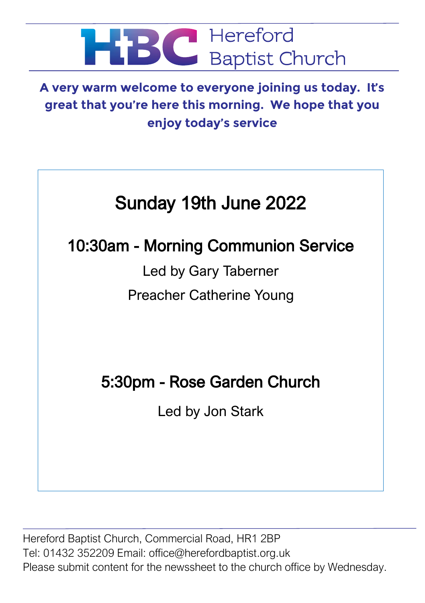

**A very warm welcome to everyone joining us today. It's great that you're here this morning. We hope that you enjoy today's service**

# Sunday 19th June 2022

# 10:30am - Morning Communion Service

Led by Gary Taberner Preacher Catherine Young

# 5:30pm - Rose Garden Church

Led by Jon Stark

Hereford Baptist Church, Commercial Road, HR1 2BP Tel: 01432 352209 Email: office@herefordbaptist.org.uk Please submit content for the newssheet to the church office by Wednesday.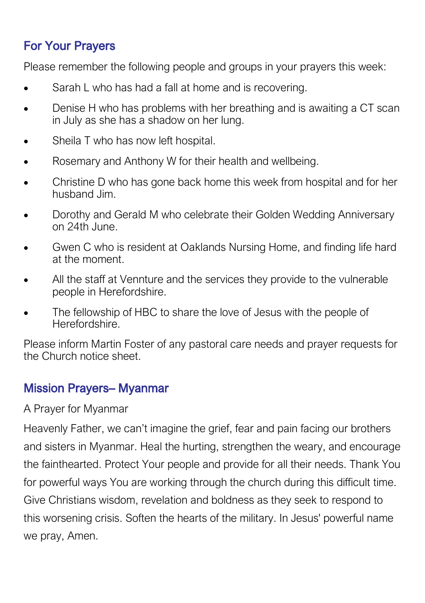# For Your Prayers

Please remember the following people and groups in your prayers this week:

- Sarah L who has had a fall at home and is recovering.
- Denise H who has problems with her breathing and is awaiting a CT scan in July as she has a shadow on her lung.
- Sheila T who has now left hospital.
- Rosemary and Anthony W for their health and wellbeing.
- Christine D who has gone back home this week from hospital and for her husband Jim.
- Dorothy and Gerald M who celebrate their Golden Wedding Anniversary on 24th June.
- Gwen C who is resident at Oaklands Nursing Home, and finding life hard at the moment.
- All the staff at Vennture and the services they provide to the vulnerable people in Herefordshire.
- The fellowship of HBC to share the love of Jesus with the people of Herefordshire.

Please inform Martin Foster of any pastoral care needs and prayer requests for the Church notice sheet.

### Mission Prayers– Myanmar

#### A Prayer for Myanmar

Heavenly Father, we can't imagine the grief, fear and pain facing our brothers and sisters in Myanmar. Heal the hurting, strengthen the weary, and encourage the fainthearted. Protect Your people and provide for all their needs. Thank You for powerful ways You are working through the church during this difficult time. Give Christians wisdom, revelation and boldness as they seek to respond to this worsening crisis. Soften the hearts of the military. In Jesus' powerful name we pray, Amen.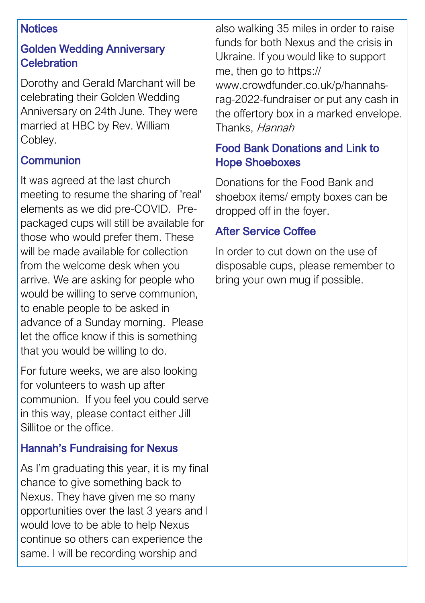#### **Notices**

#### Golden Wedding Anniversary **Celebration**

Dorothy and Gerald Marchant will be celebrating their Golden Wedding Anniversary on 24th June. They were married at HBC by Rev. William Cobley.

# **Communion**

It was agreed at the last church meeting to resume the sharing of 'real' elements as we did pre-COVID. Prepackaged cups will still be available for those who would prefer them. These will be made available for collection from the welcome desk when you arrive. We are asking for people who would be willing to serve communion, to enable people to be asked in advance of a Sunday morning. Please let the office know if this is something that you would be willing to do.

For future weeks, we are also looking for volunteers to wash up after communion. If you feel you could serve in this way, please contact either Jill Sillitoe or the office.

### Hannah's Fundraising for Nexus

As I'm graduating this year, it is my final chance to give something back to Nexus. They have given me so many opportunities over the last 3 years and I would love to be able to help Nexus continue so others can experience the same. I will be recording worship and

also walking 35 miles in order to raise funds for both Nexus and the crisis in Ukraine. If you would like to support me, then go to https:// www.crowdfunder.co.uk/p/hannahsrag-2022-fundraiser or put any cash in the offertory box in a marked envelope. Thanks, Hannah

#### Food Bank Donations and Link to Hope Shoeboxes

Donations for the Food Bank and shoebox items/ empty boxes can be dropped off in the foyer.

#### After Service Coffee

In order to cut down on the use of disposable cups, please remember to bring your own mug if possible.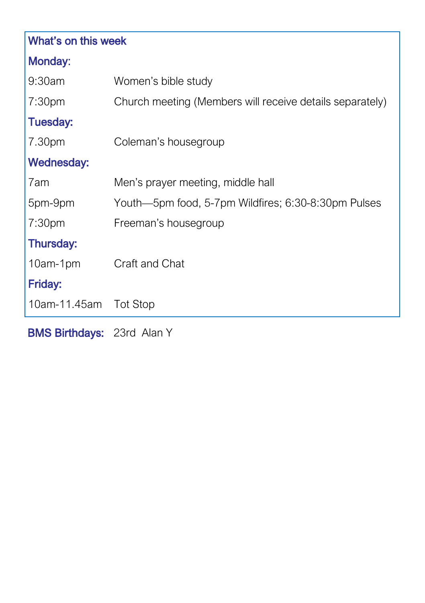| What's on this week   |                                                          |
|-----------------------|----------------------------------------------------------|
| <b>Monday:</b>        |                                                          |
| $9:30$ am             | Women's bible study                                      |
| 7:30 <sub>pm</sub>    | Church meeting (Members will receive details separately) |
| <b>Tuesday:</b>       |                                                          |
| 7.30pm                | Coleman's housegroup                                     |
| <b>Wednesday:</b>     |                                                          |
| 7am                   | Men's prayer meeting, middle hall                        |
| 5pm-9pm               | Youth—5pm food, 5-7pm Wildfires; 6:30-8:30pm Pulses      |
| 7:30 <sub>pm</sub>    | Freeman's housegroup                                     |
| Thursday:             |                                                          |
| 10am-1pm              | Craft and Chat                                           |
| Friday:               |                                                          |
| 10am-11.45am Tot Stop |                                                          |
|                       |                                                          |

BMS Birthdays: 23rd Alan Y